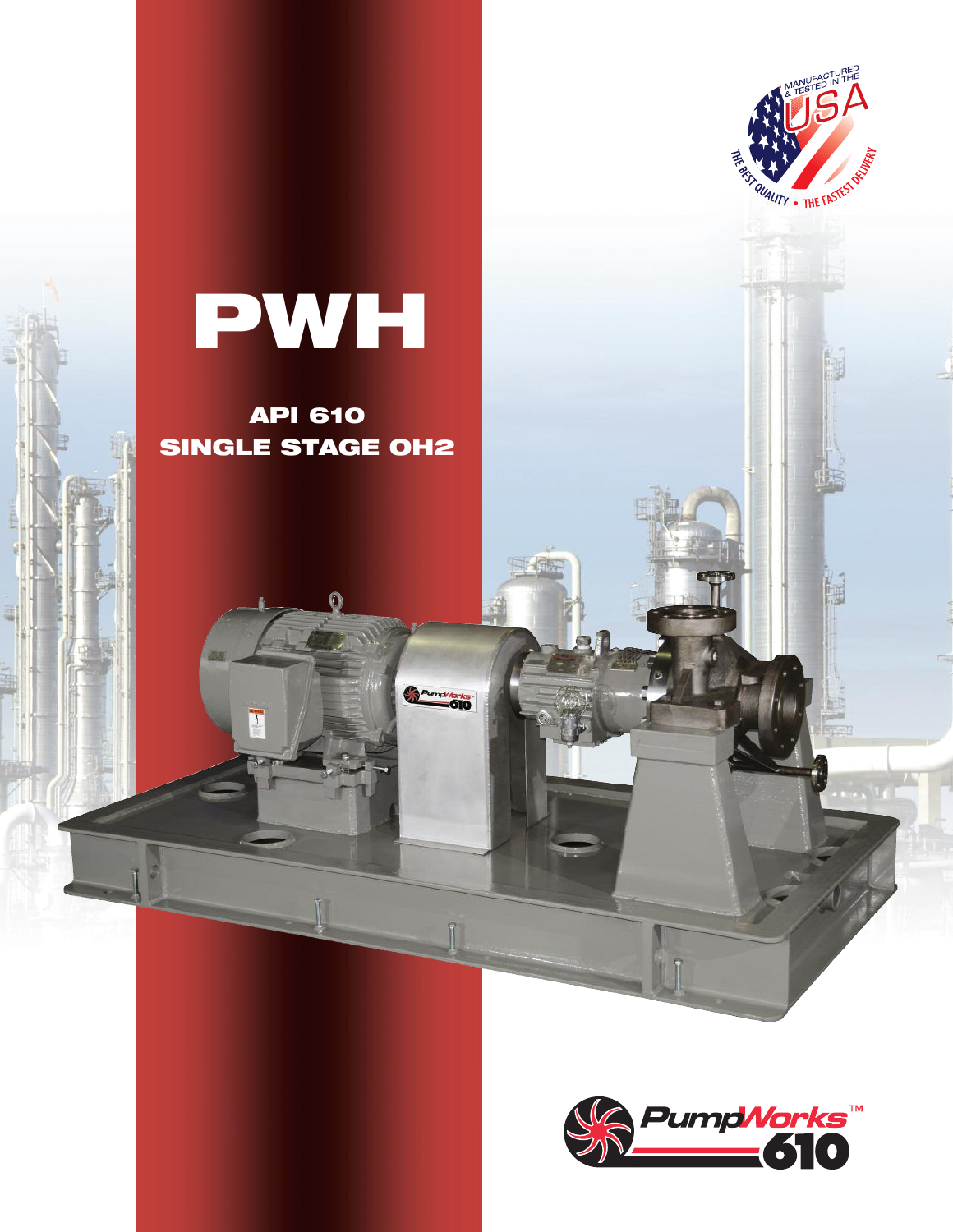

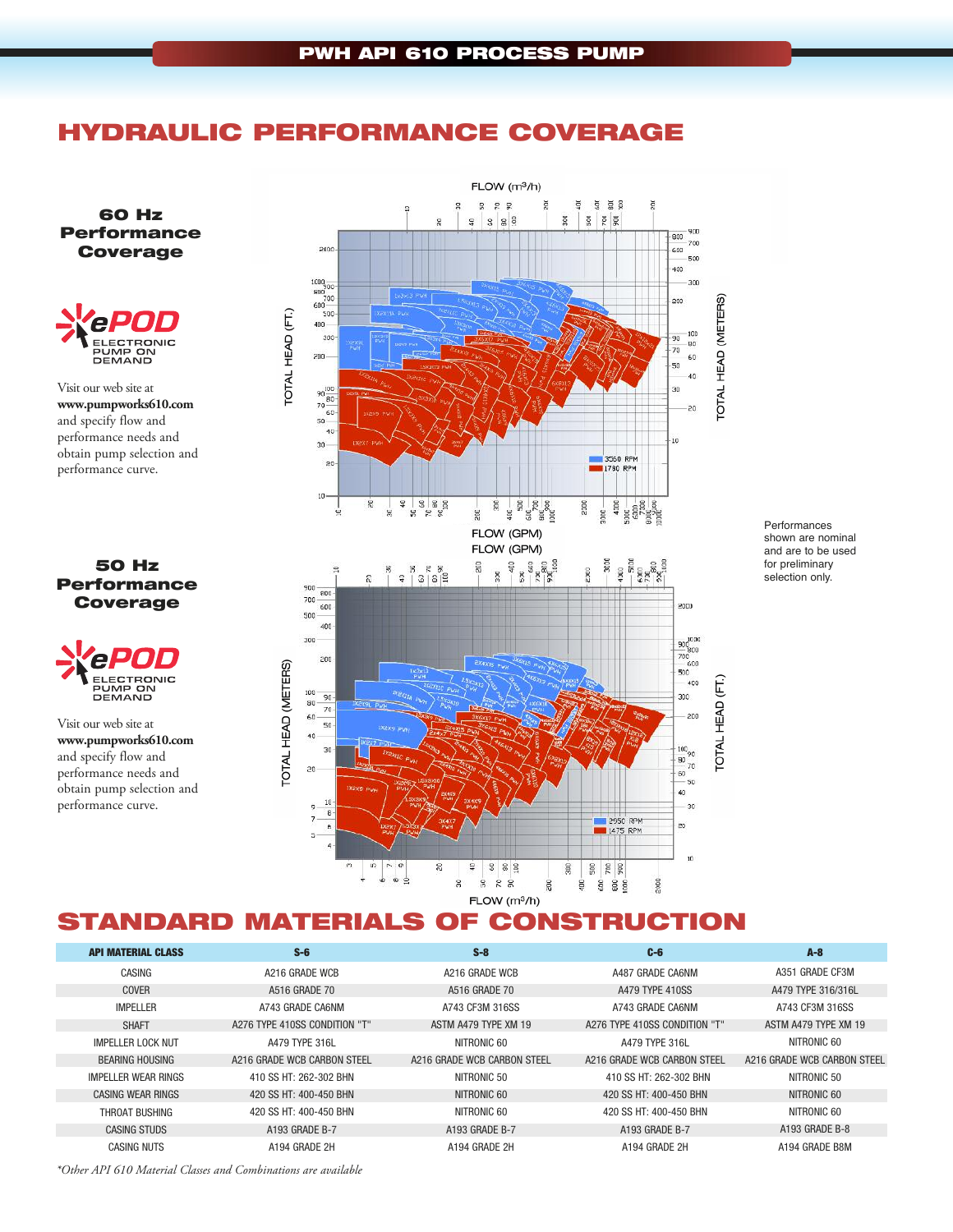## **HYDRAULIC PERFORMANCE COVERAGE**

**60 Hz Performance Coverage**



Visit our web site at **www.pumpworks610.com** and specify flow and performance needs and obtain pump selection and performance curve.

#### **50 Hz Performance Coverage**



Visit our web site at **www.pumpworks610.com** and specify flow and performance needs and obtain pump selection and performance curve.



Performances shown are nominal and are to be used for preliminary selection only.

# **STANDARD MATERIALS OF CONSTRUCTION**

| <b>API MATERIAL CLASS</b> | $S-6$                         | $S-8$                       | $C - 6$                       | $A - 8$                     |
|---------------------------|-------------------------------|-----------------------------|-------------------------------|-----------------------------|
| CASING                    | A216 GRADE WCB                | A216 GRADE WCB              | A487 GRADE CA6NM              | A351 GRADE CF3M             |
| COVER                     | A516 GRADE 70                 | A516 GRADE 70               | A479 TYPE 410SS               | A479 TYPE 316/316L          |
| <b>IMPELLER</b>           | A743 GRADE CA6NM              | A743 CF3M 316SS             | A743 GRADE CA6NM              | A743 CF3M 316SS             |
| <b>SHAFT</b>              | A276 TYPE 410SS CONDITION "T" | ASTM A479 TYPE XM 19        | A276 TYPE 410SS CONDITION "T" | ASTM A479 TYPE XM 19        |
| <b>IMPELLER LOCK NUT</b>  | A479 TYPE 316L                | NITRONIC 60                 | A479 TYPE 316L                | NITRONIC 60                 |
| <b>BEARING HOUSING</b>    | A216 GRADE WCB CARBON STEEL   | A216 GRADE WCB CARBON STEEL | A216 GRADE WCB CARBON STEEL   | A216 GRADE WCB CARBON STEEL |
| IMPELLER WEAR RINGS       | 410 SS HT: 262-302 BHN        | NITRONIC 50                 | 410 SS HT: 262-302 BHN        | NITRONIC 50                 |
| CASING WEAR RINGS         | 420 SS HT: 400-450 BHN        | NITRONIC 60                 | 420 SS HT: 400-450 BHN        | NITRONIC 60                 |
| THROAT BUSHING            | 420 SS HT: 400-450 BHN        | NITRONIC 60                 | 420 SS HT: 400-450 BHN        | NITRONIC 60                 |
| <b>CASING STUDS</b>       | A193 GRADE B-7                | A193 GRADE B-7              | A193 GRADE B-7                | A193 GRADE B-8              |
| <b>CASING NUTS</b>        | A194 GRADE 2H                 | A194 GRADE 2H               | A194 GRADE 2H                 | A194 GRADE B8M              |
|                           |                               |                             |                               |                             |

*\*Other API 610 Material Classes and Combinations are available*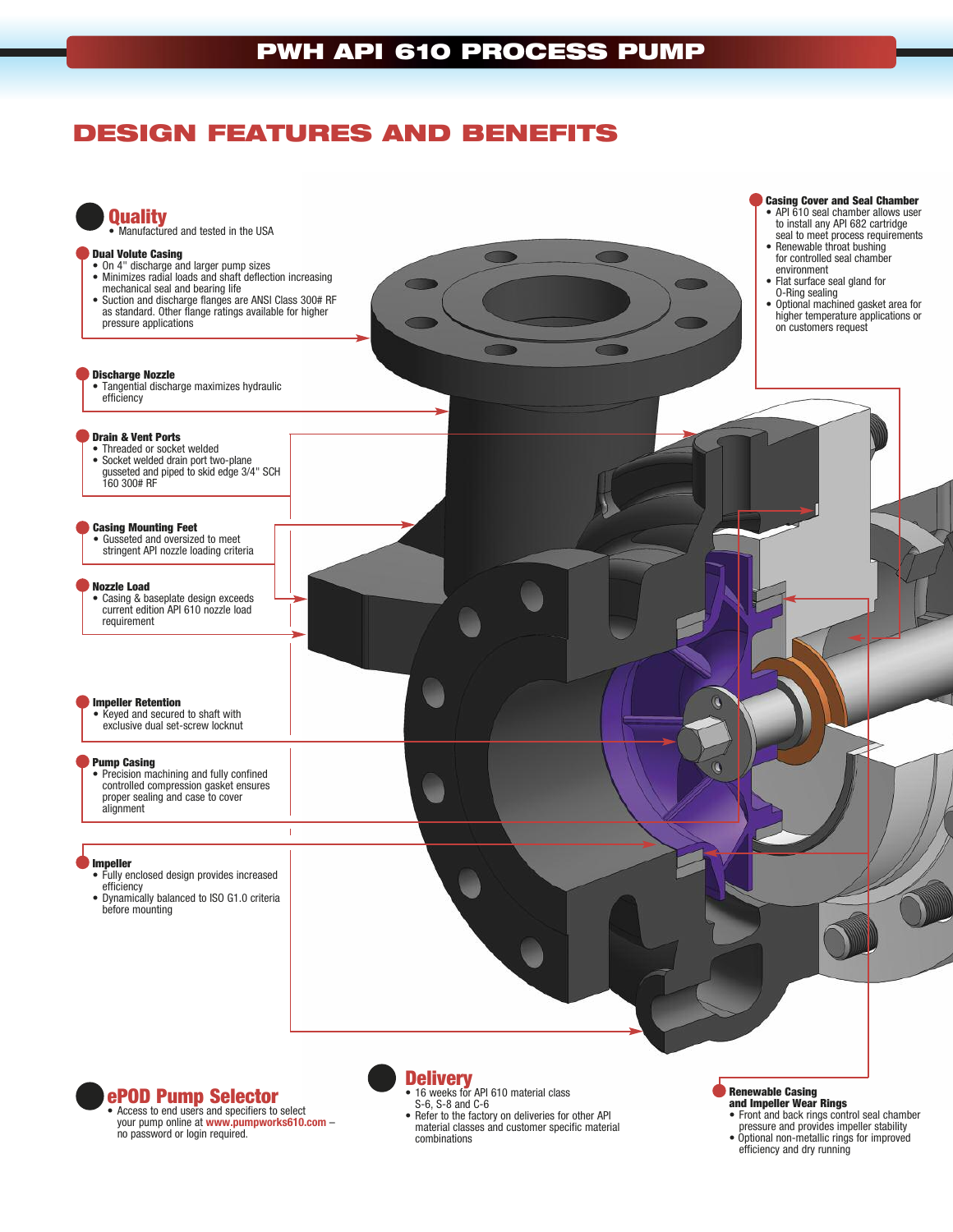# **DESIGN FEATURES AND BENEFITS**



no password or login required.

• Refer to the factory on deliveries for other API

material classes and customer specific material combinations

- 
- Optional non-metallic rings for improved efficiency and dry running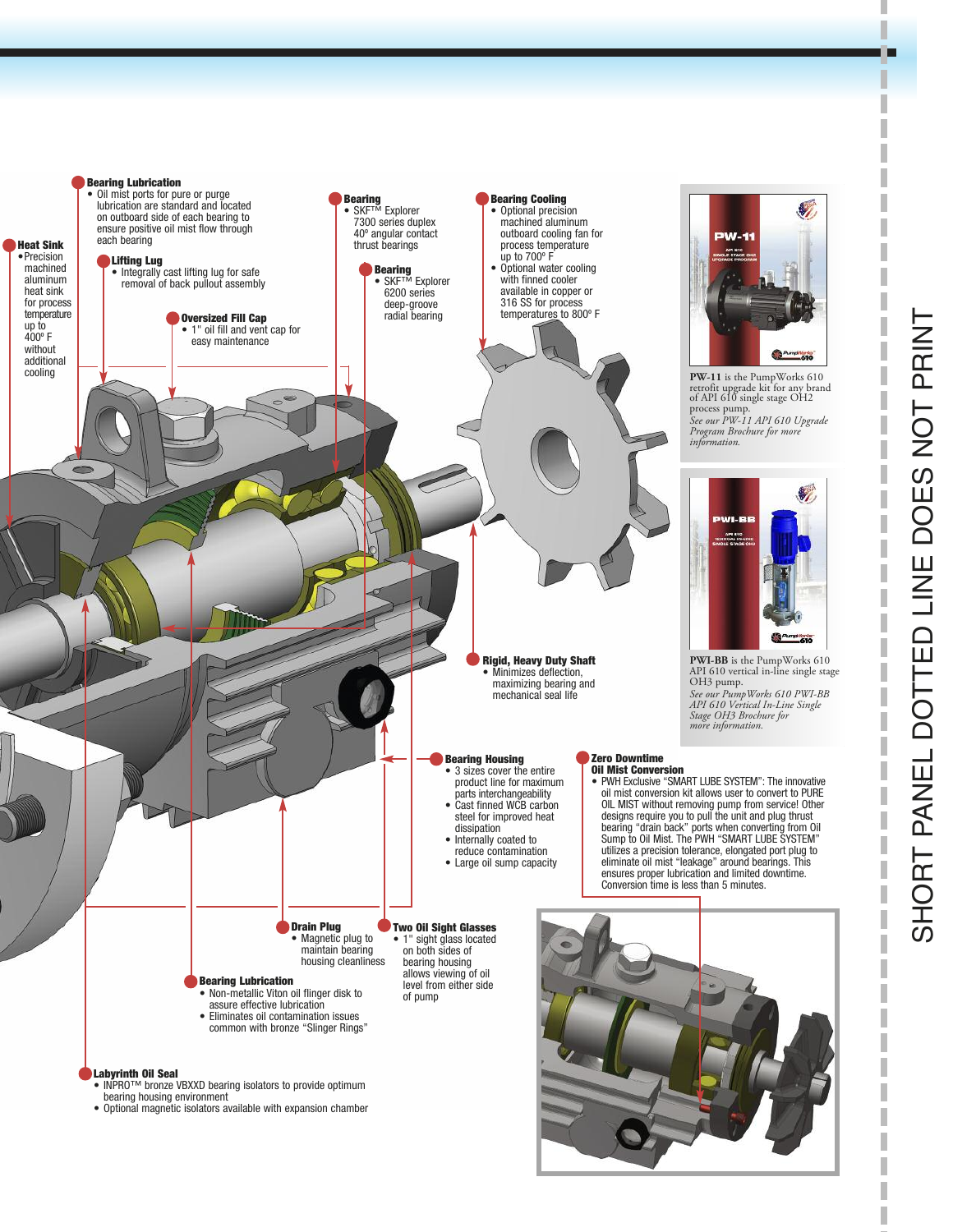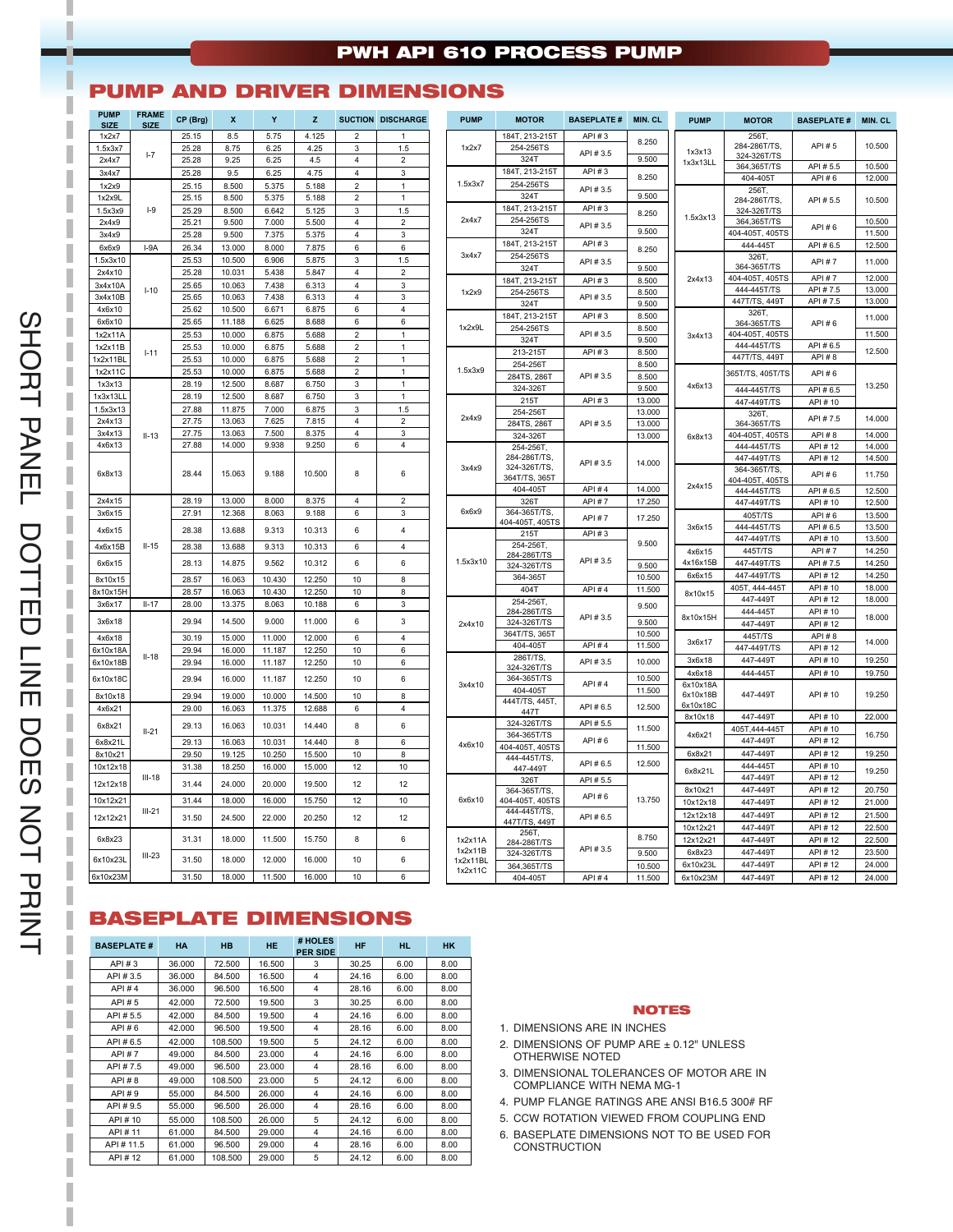### **PWH API 610 PROCESS PUMP**

#### **PUMP AND DRIVER DIMENSIONS**

| 8.5<br>5.75<br>4.125<br>256T.<br>25.15<br>184T, 213-215T<br>API#3<br>1x2x7<br>$\mathcal{D}$<br>1<br>8.250<br>284-286T/TS.<br>1.5<br>1.5x3x7<br>25.28<br>8.75<br>6.25<br>4.25<br>3<br>1x2x7<br>254-256TS<br>API #3.5<br>1x3x13<br>$I - 7$<br>324-326T/TS<br>9.500<br>9.25<br>$\overline{4}$<br>$\overline{2}$<br>3241<br>2x4x7<br>25.28<br>6.25<br>4.5<br>1x3x13LL<br>364,365T/TS<br>184T, 213-215T<br>API # 3<br>9.5<br>6.25<br>4.75<br>$\overline{4}$<br>$\overline{3}$<br>3x4x7<br>25.28<br>8.250<br>404-405T<br>1.5x3x7<br>254-256TS<br>8.500<br>25.15<br>5.375<br>5.188<br>$\overline{\mathbf{c}}$<br>1x2x9<br>1<br>API #3.5<br>256T<br>9.500<br>324T<br>25.15<br>8.500<br>5.375<br>5.188<br>$\overline{2}$<br>$\mathbf{1}$<br>1x2x9L<br>284-286T/TS,<br>184T, 213-215T<br>API # 3<br>$I-9$<br>$\mathbf{3}$<br>1.5<br>1.5x3x9<br>25.29<br>8.500<br>6.642<br>5.125<br>324-326T/TS<br>8.250<br>1.5x3x13<br>254-256TS<br>2x4x7<br>364,365T/TS<br>2x4x9<br>25.21<br>9.500<br>7.000<br>5.500<br>4<br>$\overline{2}$<br>API #3.5<br>9.500<br>324T<br>3<br>404-405T, 405TS<br>25.28<br>9.500<br>7.375<br>5.375<br>$\overline{4}$<br>3x4x9<br>184T, 213-215T<br>API #3<br>444-445T<br>7.875<br>6<br>6<br>6x6x9<br>$I-9A$<br>26.34<br>13.000<br>8,000<br>8.250<br>3x4x7<br>254-256TS<br>326T.<br>25.53<br>10.500<br>6.906<br>5.875<br>3<br>1.5<br>1.5x3x10<br>API #3.5<br>364-365T/TS<br>9.500<br>324T<br>$\overline{2}$<br>2x4x10<br>25.28<br>10.031<br>5.438<br>5.847<br>$\overline{4}$<br>404-405T, 405TS<br>8.500<br>2x4x13<br>184T, 213-215T<br>API #3<br>$\overline{4}$<br>3<br>3x4x10A<br>25.65<br>10.063<br>7.438<br>6.313<br>444-445T/TS<br>$I-10$<br>8.500<br>254-256TS<br>1x2x9<br>7.438<br>$\overline{4}$<br>3<br>3x4x10B<br>25.65<br>10.063<br>6.313<br>API #3.5<br>447T/TS, 449T<br>9.500<br>324T<br>4x6x10<br>25.62<br>10.500<br>6.671<br>6.875<br>6<br>$\overline{4}$<br>326T,<br>184T, 213-215T<br>API # 3<br>8.500<br>6x6x10<br>25.65<br>11.188<br>6.625<br>8.688<br>6<br>6<br>364-365T/TS<br>1x2x9L<br>8.500<br>254-256TS<br>10.000<br>$\overline{2}$<br>API #3.5<br>404-405T, 405TS<br>1x2x11A<br>25.53<br>6.875<br>5.688<br>$\mathbf{1}$<br>3x4x13<br>324T<br>9.500<br>444-445T/TS<br>10.000<br>$\overline{2}$<br>1x2x11B<br>25.53<br>6.875<br>5.688<br>$\mathbf{1}$<br>8.500<br>$1 - 11$<br>213-2157<br>API #3<br>447T/TS, 449T<br>25.53<br>$\overline{2}$<br>$\mathbf{1}$<br>10.000<br>6.875<br>5.688<br>1x2x11BL<br>8.500<br>254-2567<br>1x2x11C<br>25.53<br>10.000<br>6.875<br>$\boldsymbol{2}$<br>1.5x3x9<br>5.688<br>$\overline{1}$<br>365T/TS, 405T/TS<br>284TS, 286T<br>API #3.5<br>8,500<br>1x3x13<br>28.19<br>12.500<br>8.687<br>6.750<br>$\sqrt{3}$<br>$\mathbf{1}$<br>4x6x13<br>9.500<br>324-326T<br>444-445T/TS<br>1x3x13LL<br>28.19<br>12.500<br>8.687<br>6.750<br>3<br>$\mathbf{1}$<br>API # 3<br>215T<br>13.000<br>447-449T/TS<br>1.5x3x13<br>27.88<br>11.875<br>7.000<br>6.875<br>3<br>1.5<br>254-2567<br>13.000<br>326T,<br>2x4x9<br>$\overline{2}$<br>27.75<br>13.063<br>7.625<br>7.815<br>$\overline{4}$<br>2x4x13<br>284TS, 2867<br>13.000<br>API #3.5<br>364-365T/TS<br>3<br>3x4x13<br>27.75<br>13.063<br>7.500<br>8.375<br>$\overline{4}$<br>13.000<br>404-405T, 405TS<br>$II-13$<br>324-3267<br>6x8x13<br>9.938<br>6<br>4x6x13<br>27.88<br>14.000<br>9.250<br>4<br>444-445T/TS<br>254-256T,<br>284-286T/TS.<br>447-449T/TS<br>14.000<br>API #3.5<br>324-326T/TS.<br>3x4x9<br>364-365T/TS,<br>28.44<br>15.063<br>9.188<br>10.500<br>8<br>6<br>6x8x13<br>364T/TS, 365T<br>404-405T, 405TS<br>2x4x15<br>404-405T<br>API # 4<br>14.000<br>444-445T/TS<br>13.000<br>8.375<br>2x4x15<br>28.19<br>8.000<br>$\overline{4}$<br>$\overline{2}$<br><b>API#7</b><br>17.250<br>326T<br>447-449T/TS<br>6x6x9<br>6<br>3<br>364-365T/TS<br>3x6x15<br>27.91<br>12.368<br>8.063<br>9.188<br>405T/TS<br>API #7<br>17.250<br>404-405T, 405TS<br>444-445T/TS<br>3x6x15<br>$\overline{\mathbf{4}}$<br>28.38<br>10.313<br>6<br>4x6x15<br>13.688<br>9.313<br>API#3<br>215T<br>447-449T/TS<br>9.500<br>254-256T.<br>$II-15$<br>13.688<br>9.313<br>10.313<br>6<br>$\overline{4}$<br>4x6x15B<br>28.38<br>445T/TS<br>4x6x15<br>284-286T/TS<br>1.5x3x10<br>API #3.5<br>4x16x15B<br>28.13<br>14.875<br>9.562<br>10.312<br>6<br>6<br>447-449T/TS<br>6x6x15<br>324-326T/TS<br>9.500<br>447-449T/TS<br>6x6x15<br>364-3651<br>10.500<br>28.57<br>16.063<br>10.430<br>12.250<br>8<br>8x10x15<br>10<br>405T, 444-445T<br>404T<br>API # 4<br>11.500<br>8x10x15H<br>28.57<br>16.063<br>10.430<br>12.250<br>10<br>8<br>8x10x15<br>447-449T<br>254-256T,<br>6<br>3<br>3x6x17<br>$II-17$<br>28.00<br>13.375<br>8.063<br>10.188<br>9.500<br>284-286T/TS<br>444-445T<br>8x10x15H<br>API #3.5<br>$\mathbf{3}$<br>6<br>3x6x18<br>29.94<br>14.500<br>9.000<br>11.000<br>9.500<br>324-326T/TS<br>447-449T<br>2x4x10<br>364T/TS, 365T<br>10.500<br>445T/TS<br>30.19<br>15,000<br>6<br>$\overline{4}$<br>4x6x18<br>11.000<br>12.000<br>3x6x17<br>404-405T<br>API # 4<br>11.500<br>447-449T/TS<br>16.000<br>11.187<br>12.250<br>10<br>6<br>6x10x18/<br>29.94<br>$II-18$<br>286T/TS<br>447-449T<br>3x6x18<br>6<br>6x10x18B<br>29.94<br>16.000<br>11.187<br>12.250<br>10<br>API #3.5<br>10.000<br>324-326T/TS<br>4x6x18<br>444-445T<br>29.94<br>16.000<br>12.250<br>10<br>6<br>364-365T/TS<br>10.500<br>6x10x18C<br>11.187<br>API #4<br>3x4x10<br>6x10x18A<br>11.500<br>404-405T<br>8<br>6x10x18B<br>447-449T<br>29.94<br>19.000<br>10.000<br>14.500<br>10 | API # 5<br>API #5.5<br>API #6<br>API #5.5<br>API#6<br>API #6.5<br><b>API#7</b><br><b>API#7</b><br>API #7.5<br>API #7.5<br>API # 6<br>API #6.5<br>API # 8<br>$API \# 6$<br>API #6.5<br>API # 10 | 10.500<br>10.500<br>12.000<br>10.500<br>10.500<br>11.500<br>12.500<br>11.000<br>12.000<br>13.000<br>13.000<br>11.000<br>11.500<br>12.500<br>13.250 |
|------------------------------------------------------------------------------------------------------------------------------------------------------------------------------------------------------------------------------------------------------------------------------------------------------------------------------------------------------------------------------------------------------------------------------------------------------------------------------------------------------------------------------------------------------------------------------------------------------------------------------------------------------------------------------------------------------------------------------------------------------------------------------------------------------------------------------------------------------------------------------------------------------------------------------------------------------------------------------------------------------------------------------------------------------------------------------------------------------------------------------------------------------------------------------------------------------------------------------------------------------------------------------------------------------------------------------------------------------------------------------------------------------------------------------------------------------------------------------------------------------------------------------------------------------------------------------------------------------------------------------------------------------------------------------------------------------------------------------------------------------------------------------------------------------------------------------------------------------------------------------------------------------------------------------------------------------------------------------------------------------------------------------------------------------------------------------------------------------------------------------------------------------------------------------------------------------------------------------------------------------------------------------------------------------------------------------------------------------------------------------------------------------------------------------------------------------------------------------------------------------------------------------------------------------------------------------------------------------------------------------------------------------------------------------------------------------------------------------------------------------------------------------------------------------------------------------------------------------------------------------------------------------------------------------------------------------------------------------------------------------------------------------------------------------------------------------------------------------------------------------------------------------------------------------------------------------------------------------------------------------------------------------------------------------------------------------------------------------------------------------------------------------------------------------------------------------------------------------------------------------------------------------------------------------------------------------------------------------------------------------------------------------------------------------------------------------------------------------------------------------------------------------------------------------------------------------------------------------------------------------------------------------------------------------------------------------------------------------------------------------------------------------------------------------------------------------------------------------------------------------------------------------------------------------------------------------------------------------------------------------------------------------------------------------------------------------------------------------------------------------------------------------------------------------------------------------------------------------------------------------------------------------------------------------------------------------------------------------------------------------------------------------------------------------------------------------------------------------------------------------------------------------------------------------------------------------------------------------------------------------------------------------------------------------------------------------------------------------------------------------------------------------------------------------------------------------------------------------------------------------------------------------------------------------------------------------------------------------------------------------------------------------------------------------------------------------------------------------------------------------------------------------------------------------------------------|------------------------------------------------------------------------------------------------------------------------------------------------------------------------------------------------|----------------------------------------------------------------------------------------------------------------------------------------------------|
|                                                                                                                                                                                                                                                                                                                                                                                                                                                                                                                                                                                                                                                                                                                                                                                                                                                                                                                                                                                                                                                                                                                                                                                                                                                                                                                                                                                                                                                                                                                                                                                                                                                                                                                                                                                                                                                                                                                                                                                                                                                                                                                                                                                                                                                                                                                                                                                                                                                                                                                                                                                                                                                                                                                                                                                                                                                                                                                                                                                                                                                                                                                                                                                                                                                                                                                                                                                                                                                                                                                                                                                                                                                                                                                                                                                                                                                                                                                                                                                                                                                                                                                                                                                                                                                                                                                                                                                                                                                                                                                                                                                                                                                                                                                                                                                                                                                                                                                                                                                                                                                                                                                                                                                                                                                                                                                                                                                                                                                |                                                                                                                                                                                                |                                                                                                                                                    |
|                                                                                                                                                                                                                                                                                                                                                                                                                                                                                                                                                                                                                                                                                                                                                                                                                                                                                                                                                                                                                                                                                                                                                                                                                                                                                                                                                                                                                                                                                                                                                                                                                                                                                                                                                                                                                                                                                                                                                                                                                                                                                                                                                                                                                                                                                                                                                                                                                                                                                                                                                                                                                                                                                                                                                                                                                                                                                                                                                                                                                                                                                                                                                                                                                                                                                                                                                                                                                                                                                                                                                                                                                                                                                                                                                                                                                                                                                                                                                                                                                                                                                                                                                                                                                                                                                                                                                                                                                                                                                                                                                                                                                                                                                                                                                                                                                                                                                                                                                                                                                                                                                                                                                                                                                                                                                                                                                                                                                                                |                                                                                                                                                                                                |                                                                                                                                                    |
|                                                                                                                                                                                                                                                                                                                                                                                                                                                                                                                                                                                                                                                                                                                                                                                                                                                                                                                                                                                                                                                                                                                                                                                                                                                                                                                                                                                                                                                                                                                                                                                                                                                                                                                                                                                                                                                                                                                                                                                                                                                                                                                                                                                                                                                                                                                                                                                                                                                                                                                                                                                                                                                                                                                                                                                                                                                                                                                                                                                                                                                                                                                                                                                                                                                                                                                                                                                                                                                                                                                                                                                                                                                                                                                                                                                                                                                                                                                                                                                                                                                                                                                                                                                                                                                                                                                                                                                                                                                                                                                                                                                                                                                                                                                                                                                                                                                                                                                                                                                                                                                                                                                                                                                                                                                                                                                                                                                                                                                |                                                                                                                                                                                                |                                                                                                                                                    |
|                                                                                                                                                                                                                                                                                                                                                                                                                                                                                                                                                                                                                                                                                                                                                                                                                                                                                                                                                                                                                                                                                                                                                                                                                                                                                                                                                                                                                                                                                                                                                                                                                                                                                                                                                                                                                                                                                                                                                                                                                                                                                                                                                                                                                                                                                                                                                                                                                                                                                                                                                                                                                                                                                                                                                                                                                                                                                                                                                                                                                                                                                                                                                                                                                                                                                                                                                                                                                                                                                                                                                                                                                                                                                                                                                                                                                                                                                                                                                                                                                                                                                                                                                                                                                                                                                                                                                                                                                                                                                                                                                                                                                                                                                                                                                                                                                                                                                                                                                                                                                                                                                                                                                                                                                                                                                                                                                                                                                                                |                                                                                                                                                                                                |                                                                                                                                                    |
|                                                                                                                                                                                                                                                                                                                                                                                                                                                                                                                                                                                                                                                                                                                                                                                                                                                                                                                                                                                                                                                                                                                                                                                                                                                                                                                                                                                                                                                                                                                                                                                                                                                                                                                                                                                                                                                                                                                                                                                                                                                                                                                                                                                                                                                                                                                                                                                                                                                                                                                                                                                                                                                                                                                                                                                                                                                                                                                                                                                                                                                                                                                                                                                                                                                                                                                                                                                                                                                                                                                                                                                                                                                                                                                                                                                                                                                                                                                                                                                                                                                                                                                                                                                                                                                                                                                                                                                                                                                                                                                                                                                                                                                                                                                                                                                                                                                                                                                                                                                                                                                                                                                                                                                                                                                                                                                                                                                                                                                |                                                                                                                                                                                                |                                                                                                                                                    |
|                                                                                                                                                                                                                                                                                                                                                                                                                                                                                                                                                                                                                                                                                                                                                                                                                                                                                                                                                                                                                                                                                                                                                                                                                                                                                                                                                                                                                                                                                                                                                                                                                                                                                                                                                                                                                                                                                                                                                                                                                                                                                                                                                                                                                                                                                                                                                                                                                                                                                                                                                                                                                                                                                                                                                                                                                                                                                                                                                                                                                                                                                                                                                                                                                                                                                                                                                                                                                                                                                                                                                                                                                                                                                                                                                                                                                                                                                                                                                                                                                                                                                                                                                                                                                                                                                                                                                                                                                                                                                                                                                                                                                                                                                                                                                                                                                                                                                                                                                                                                                                                                                                                                                                                                                                                                                                                                                                                                                                                |                                                                                                                                                                                                |                                                                                                                                                    |
|                                                                                                                                                                                                                                                                                                                                                                                                                                                                                                                                                                                                                                                                                                                                                                                                                                                                                                                                                                                                                                                                                                                                                                                                                                                                                                                                                                                                                                                                                                                                                                                                                                                                                                                                                                                                                                                                                                                                                                                                                                                                                                                                                                                                                                                                                                                                                                                                                                                                                                                                                                                                                                                                                                                                                                                                                                                                                                                                                                                                                                                                                                                                                                                                                                                                                                                                                                                                                                                                                                                                                                                                                                                                                                                                                                                                                                                                                                                                                                                                                                                                                                                                                                                                                                                                                                                                                                                                                                                                                                                                                                                                                                                                                                                                                                                                                                                                                                                                                                                                                                                                                                                                                                                                                                                                                                                                                                                                                                                |                                                                                                                                                                                                |                                                                                                                                                    |
|                                                                                                                                                                                                                                                                                                                                                                                                                                                                                                                                                                                                                                                                                                                                                                                                                                                                                                                                                                                                                                                                                                                                                                                                                                                                                                                                                                                                                                                                                                                                                                                                                                                                                                                                                                                                                                                                                                                                                                                                                                                                                                                                                                                                                                                                                                                                                                                                                                                                                                                                                                                                                                                                                                                                                                                                                                                                                                                                                                                                                                                                                                                                                                                                                                                                                                                                                                                                                                                                                                                                                                                                                                                                                                                                                                                                                                                                                                                                                                                                                                                                                                                                                                                                                                                                                                                                                                                                                                                                                                                                                                                                                                                                                                                                                                                                                                                                                                                                                                                                                                                                                                                                                                                                                                                                                                                                                                                                                                                |                                                                                                                                                                                                |                                                                                                                                                    |
|                                                                                                                                                                                                                                                                                                                                                                                                                                                                                                                                                                                                                                                                                                                                                                                                                                                                                                                                                                                                                                                                                                                                                                                                                                                                                                                                                                                                                                                                                                                                                                                                                                                                                                                                                                                                                                                                                                                                                                                                                                                                                                                                                                                                                                                                                                                                                                                                                                                                                                                                                                                                                                                                                                                                                                                                                                                                                                                                                                                                                                                                                                                                                                                                                                                                                                                                                                                                                                                                                                                                                                                                                                                                                                                                                                                                                                                                                                                                                                                                                                                                                                                                                                                                                                                                                                                                                                                                                                                                                                                                                                                                                                                                                                                                                                                                                                                                                                                                                                                                                                                                                                                                                                                                                                                                                                                                                                                                                                                |                                                                                                                                                                                                |                                                                                                                                                    |
|                                                                                                                                                                                                                                                                                                                                                                                                                                                                                                                                                                                                                                                                                                                                                                                                                                                                                                                                                                                                                                                                                                                                                                                                                                                                                                                                                                                                                                                                                                                                                                                                                                                                                                                                                                                                                                                                                                                                                                                                                                                                                                                                                                                                                                                                                                                                                                                                                                                                                                                                                                                                                                                                                                                                                                                                                                                                                                                                                                                                                                                                                                                                                                                                                                                                                                                                                                                                                                                                                                                                                                                                                                                                                                                                                                                                                                                                                                                                                                                                                                                                                                                                                                                                                                                                                                                                                                                                                                                                                                                                                                                                                                                                                                                                                                                                                                                                                                                                                                                                                                                                                                                                                                                                                                                                                                                                                                                                                                                |                                                                                                                                                                                                |                                                                                                                                                    |
|                                                                                                                                                                                                                                                                                                                                                                                                                                                                                                                                                                                                                                                                                                                                                                                                                                                                                                                                                                                                                                                                                                                                                                                                                                                                                                                                                                                                                                                                                                                                                                                                                                                                                                                                                                                                                                                                                                                                                                                                                                                                                                                                                                                                                                                                                                                                                                                                                                                                                                                                                                                                                                                                                                                                                                                                                                                                                                                                                                                                                                                                                                                                                                                                                                                                                                                                                                                                                                                                                                                                                                                                                                                                                                                                                                                                                                                                                                                                                                                                                                                                                                                                                                                                                                                                                                                                                                                                                                                                                                                                                                                                                                                                                                                                                                                                                                                                                                                                                                                                                                                                                                                                                                                                                                                                                                                                                                                                                                                |                                                                                                                                                                                                |                                                                                                                                                    |
|                                                                                                                                                                                                                                                                                                                                                                                                                                                                                                                                                                                                                                                                                                                                                                                                                                                                                                                                                                                                                                                                                                                                                                                                                                                                                                                                                                                                                                                                                                                                                                                                                                                                                                                                                                                                                                                                                                                                                                                                                                                                                                                                                                                                                                                                                                                                                                                                                                                                                                                                                                                                                                                                                                                                                                                                                                                                                                                                                                                                                                                                                                                                                                                                                                                                                                                                                                                                                                                                                                                                                                                                                                                                                                                                                                                                                                                                                                                                                                                                                                                                                                                                                                                                                                                                                                                                                                                                                                                                                                                                                                                                                                                                                                                                                                                                                                                                                                                                                                                                                                                                                                                                                                                                                                                                                                                                                                                                                                                |                                                                                                                                                                                                |                                                                                                                                                    |
|                                                                                                                                                                                                                                                                                                                                                                                                                                                                                                                                                                                                                                                                                                                                                                                                                                                                                                                                                                                                                                                                                                                                                                                                                                                                                                                                                                                                                                                                                                                                                                                                                                                                                                                                                                                                                                                                                                                                                                                                                                                                                                                                                                                                                                                                                                                                                                                                                                                                                                                                                                                                                                                                                                                                                                                                                                                                                                                                                                                                                                                                                                                                                                                                                                                                                                                                                                                                                                                                                                                                                                                                                                                                                                                                                                                                                                                                                                                                                                                                                                                                                                                                                                                                                                                                                                                                                                                                                                                                                                                                                                                                                                                                                                                                                                                                                                                                                                                                                                                                                                                                                                                                                                                                                                                                                                                                                                                                                                                |                                                                                                                                                                                                |                                                                                                                                                    |
|                                                                                                                                                                                                                                                                                                                                                                                                                                                                                                                                                                                                                                                                                                                                                                                                                                                                                                                                                                                                                                                                                                                                                                                                                                                                                                                                                                                                                                                                                                                                                                                                                                                                                                                                                                                                                                                                                                                                                                                                                                                                                                                                                                                                                                                                                                                                                                                                                                                                                                                                                                                                                                                                                                                                                                                                                                                                                                                                                                                                                                                                                                                                                                                                                                                                                                                                                                                                                                                                                                                                                                                                                                                                                                                                                                                                                                                                                                                                                                                                                                                                                                                                                                                                                                                                                                                                                                                                                                                                                                                                                                                                                                                                                                                                                                                                                                                                                                                                                                                                                                                                                                                                                                                                                                                                                                                                                                                                                                                |                                                                                                                                                                                                |                                                                                                                                                    |
|                                                                                                                                                                                                                                                                                                                                                                                                                                                                                                                                                                                                                                                                                                                                                                                                                                                                                                                                                                                                                                                                                                                                                                                                                                                                                                                                                                                                                                                                                                                                                                                                                                                                                                                                                                                                                                                                                                                                                                                                                                                                                                                                                                                                                                                                                                                                                                                                                                                                                                                                                                                                                                                                                                                                                                                                                                                                                                                                                                                                                                                                                                                                                                                                                                                                                                                                                                                                                                                                                                                                                                                                                                                                                                                                                                                                                                                                                                                                                                                                                                                                                                                                                                                                                                                                                                                                                                                                                                                                                                                                                                                                                                                                                                                                                                                                                                                                                                                                                                                                                                                                                                                                                                                                                                                                                                                                                                                                                                                |                                                                                                                                                                                                |                                                                                                                                                    |
|                                                                                                                                                                                                                                                                                                                                                                                                                                                                                                                                                                                                                                                                                                                                                                                                                                                                                                                                                                                                                                                                                                                                                                                                                                                                                                                                                                                                                                                                                                                                                                                                                                                                                                                                                                                                                                                                                                                                                                                                                                                                                                                                                                                                                                                                                                                                                                                                                                                                                                                                                                                                                                                                                                                                                                                                                                                                                                                                                                                                                                                                                                                                                                                                                                                                                                                                                                                                                                                                                                                                                                                                                                                                                                                                                                                                                                                                                                                                                                                                                                                                                                                                                                                                                                                                                                                                                                                                                                                                                                                                                                                                                                                                                                                                                                                                                                                                                                                                                                                                                                                                                                                                                                                                                                                                                                                                                                                                                                                |                                                                                                                                                                                                |                                                                                                                                                    |
|                                                                                                                                                                                                                                                                                                                                                                                                                                                                                                                                                                                                                                                                                                                                                                                                                                                                                                                                                                                                                                                                                                                                                                                                                                                                                                                                                                                                                                                                                                                                                                                                                                                                                                                                                                                                                                                                                                                                                                                                                                                                                                                                                                                                                                                                                                                                                                                                                                                                                                                                                                                                                                                                                                                                                                                                                                                                                                                                                                                                                                                                                                                                                                                                                                                                                                                                                                                                                                                                                                                                                                                                                                                                                                                                                                                                                                                                                                                                                                                                                                                                                                                                                                                                                                                                                                                                                                                                                                                                                                                                                                                                                                                                                                                                                                                                                                                                                                                                                                                                                                                                                                                                                                                                                                                                                                                                                                                                                                                |                                                                                                                                                                                                |                                                                                                                                                    |
|                                                                                                                                                                                                                                                                                                                                                                                                                                                                                                                                                                                                                                                                                                                                                                                                                                                                                                                                                                                                                                                                                                                                                                                                                                                                                                                                                                                                                                                                                                                                                                                                                                                                                                                                                                                                                                                                                                                                                                                                                                                                                                                                                                                                                                                                                                                                                                                                                                                                                                                                                                                                                                                                                                                                                                                                                                                                                                                                                                                                                                                                                                                                                                                                                                                                                                                                                                                                                                                                                                                                                                                                                                                                                                                                                                                                                                                                                                                                                                                                                                                                                                                                                                                                                                                                                                                                                                                                                                                                                                                                                                                                                                                                                                                                                                                                                                                                                                                                                                                                                                                                                                                                                                                                                                                                                                                                                                                                                                                |                                                                                                                                                                                                |                                                                                                                                                    |
|                                                                                                                                                                                                                                                                                                                                                                                                                                                                                                                                                                                                                                                                                                                                                                                                                                                                                                                                                                                                                                                                                                                                                                                                                                                                                                                                                                                                                                                                                                                                                                                                                                                                                                                                                                                                                                                                                                                                                                                                                                                                                                                                                                                                                                                                                                                                                                                                                                                                                                                                                                                                                                                                                                                                                                                                                                                                                                                                                                                                                                                                                                                                                                                                                                                                                                                                                                                                                                                                                                                                                                                                                                                                                                                                                                                                                                                                                                                                                                                                                                                                                                                                                                                                                                                                                                                                                                                                                                                                                                                                                                                                                                                                                                                                                                                                                                                                                                                                                                                                                                                                                                                                                                                                                                                                                                                                                                                                                                                |                                                                                                                                                                                                |                                                                                                                                                    |
|                                                                                                                                                                                                                                                                                                                                                                                                                                                                                                                                                                                                                                                                                                                                                                                                                                                                                                                                                                                                                                                                                                                                                                                                                                                                                                                                                                                                                                                                                                                                                                                                                                                                                                                                                                                                                                                                                                                                                                                                                                                                                                                                                                                                                                                                                                                                                                                                                                                                                                                                                                                                                                                                                                                                                                                                                                                                                                                                                                                                                                                                                                                                                                                                                                                                                                                                                                                                                                                                                                                                                                                                                                                                                                                                                                                                                                                                                                                                                                                                                                                                                                                                                                                                                                                                                                                                                                                                                                                                                                                                                                                                                                                                                                                                                                                                                                                                                                                                                                                                                                                                                                                                                                                                                                                                                                                                                                                                                                                |                                                                                                                                                                                                |                                                                                                                                                    |
|                                                                                                                                                                                                                                                                                                                                                                                                                                                                                                                                                                                                                                                                                                                                                                                                                                                                                                                                                                                                                                                                                                                                                                                                                                                                                                                                                                                                                                                                                                                                                                                                                                                                                                                                                                                                                                                                                                                                                                                                                                                                                                                                                                                                                                                                                                                                                                                                                                                                                                                                                                                                                                                                                                                                                                                                                                                                                                                                                                                                                                                                                                                                                                                                                                                                                                                                                                                                                                                                                                                                                                                                                                                                                                                                                                                                                                                                                                                                                                                                                                                                                                                                                                                                                                                                                                                                                                                                                                                                                                                                                                                                                                                                                                                                                                                                                                                                                                                                                                                                                                                                                                                                                                                                                                                                                                                                                                                                                                                |                                                                                                                                                                                                |                                                                                                                                                    |
|                                                                                                                                                                                                                                                                                                                                                                                                                                                                                                                                                                                                                                                                                                                                                                                                                                                                                                                                                                                                                                                                                                                                                                                                                                                                                                                                                                                                                                                                                                                                                                                                                                                                                                                                                                                                                                                                                                                                                                                                                                                                                                                                                                                                                                                                                                                                                                                                                                                                                                                                                                                                                                                                                                                                                                                                                                                                                                                                                                                                                                                                                                                                                                                                                                                                                                                                                                                                                                                                                                                                                                                                                                                                                                                                                                                                                                                                                                                                                                                                                                                                                                                                                                                                                                                                                                                                                                                                                                                                                                                                                                                                                                                                                                                                                                                                                                                                                                                                                                                                                                                                                                                                                                                                                                                                                                                                                                                                                                                |                                                                                                                                                                                                |                                                                                                                                                    |
|                                                                                                                                                                                                                                                                                                                                                                                                                                                                                                                                                                                                                                                                                                                                                                                                                                                                                                                                                                                                                                                                                                                                                                                                                                                                                                                                                                                                                                                                                                                                                                                                                                                                                                                                                                                                                                                                                                                                                                                                                                                                                                                                                                                                                                                                                                                                                                                                                                                                                                                                                                                                                                                                                                                                                                                                                                                                                                                                                                                                                                                                                                                                                                                                                                                                                                                                                                                                                                                                                                                                                                                                                                                                                                                                                                                                                                                                                                                                                                                                                                                                                                                                                                                                                                                                                                                                                                                                                                                                                                                                                                                                                                                                                                                                                                                                                                                                                                                                                                                                                                                                                                                                                                                                                                                                                                                                                                                                                                                |                                                                                                                                                                                                |                                                                                                                                                    |
|                                                                                                                                                                                                                                                                                                                                                                                                                                                                                                                                                                                                                                                                                                                                                                                                                                                                                                                                                                                                                                                                                                                                                                                                                                                                                                                                                                                                                                                                                                                                                                                                                                                                                                                                                                                                                                                                                                                                                                                                                                                                                                                                                                                                                                                                                                                                                                                                                                                                                                                                                                                                                                                                                                                                                                                                                                                                                                                                                                                                                                                                                                                                                                                                                                                                                                                                                                                                                                                                                                                                                                                                                                                                                                                                                                                                                                                                                                                                                                                                                                                                                                                                                                                                                                                                                                                                                                                                                                                                                                                                                                                                                                                                                                                                                                                                                                                                                                                                                                                                                                                                                                                                                                                                                                                                                                                                                                                                                                                | API #7.5                                                                                                                                                                                       | 14.000                                                                                                                                             |
|                                                                                                                                                                                                                                                                                                                                                                                                                                                                                                                                                                                                                                                                                                                                                                                                                                                                                                                                                                                                                                                                                                                                                                                                                                                                                                                                                                                                                                                                                                                                                                                                                                                                                                                                                                                                                                                                                                                                                                                                                                                                                                                                                                                                                                                                                                                                                                                                                                                                                                                                                                                                                                                                                                                                                                                                                                                                                                                                                                                                                                                                                                                                                                                                                                                                                                                                                                                                                                                                                                                                                                                                                                                                                                                                                                                                                                                                                                                                                                                                                                                                                                                                                                                                                                                                                                                                                                                                                                                                                                                                                                                                                                                                                                                                                                                                                                                                                                                                                                                                                                                                                                                                                                                                                                                                                                                                                                                                                                                | API # 8                                                                                                                                                                                        | 14.000                                                                                                                                             |
|                                                                                                                                                                                                                                                                                                                                                                                                                                                                                                                                                                                                                                                                                                                                                                                                                                                                                                                                                                                                                                                                                                                                                                                                                                                                                                                                                                                                                                                                                                                                                                                                                                                                                                                                                                                                                                                                                                                                                                                                                                                                                                                                                                                                                                                                                                                                                                                                                                                                                                                                                                                                                                                                                                                                                                                                                                                                                                                                                                                                                                                                                                                                                                                                                                                                                                                                                                                                                                                                                                                                                                                                                                                                                                                                                                                                                                                                                                                                                                                                                                                                                                                                                                                                                                                                                                                                                                                                                                                                                                                                                                                                                                                                                                                                                                                                                                                                                                                                                                                                                                                                                                                                                                                                                                                                                                                                                                                                                                                | API #12                                                                                                                                                                                        | 14.000                                                                                                                                             |
|                                                                                                                                                                                                                                                                                                                                                                                                                                                                                                                                                                                                                                                                                                                                                                                                                                                                                                                                                                                                                                                                                                                                                                                                                                                                                                                                                                                                                                                                                                                                                                                                                                                                                                                                                                                                                                                                                                                                                                                                                                                                                                                                                                                                                                                                                                                                                                                                                                                                                                                                                                                                                                                                                                                                                                                                                                                                                                                                                                                                                                                                                                                                                                                                                                                                                                                                                                                                                                                                                                                                                                                                                                                                                                                                                                                                                                                                                                                                                                                                                                                                                                                                                                                                                                                                                                                                                                                                                                                                                                                                                                                                                                                                                                                                                                                                                                                                                                                                                                                                                                                                                                                                                                                                                                                                                                                                                                                                                                                | API #12                                                                                                                                                                                        | 14.500                                                                                                                                             |
|                                                                                                                                                                                                                                                                                                                                                                                                                                                                                                                                                                                                                                                                                                                                                                                                                                                                                                                                                                                                                                                                                                                                                                                                                                                                                                                                                                                                                                                                                                                                                                                                                                                                                                                                                                                                                                                                                                                                                                                                                                                                                                                                                                                                                                                                                                                                                                                                                                                                                                                                                                                                                                                                                                                                                                                                                                                                                                                                                                                                                                                                                                                                                                                                                                                                                                                                                                                                                                                                                                                                                                                                                                                                                                                                                                                                                                                                                                                                                                                                                                                                                                                                                                                                                                                                                                                                                                                                                                                                                                                                                                                                                                                                                                                                                                                                                                                                                                                                                                                                                                                                                                                                                                                                                                                                                                                                                                                                                                                | API # 6                                                                                                                                                                                        | 11.750                                                                                                                                             |
|                                                                                                                                                                                                                                                                                                                                                                                                                                                                                                                                                                                                                                                                                                                                                                                                                                                                                                                                                                                                                                                                                                                                                                                                                                                                                                                                                                                                                                                                                                                                                                                                                                                                                                                                                                                                                                                                                                                                                                                                                                                                                                                                                                                                                                                                                                                                                                                                                                                                                                                                                                                                                                                                                                                                                                                                                                                                                                                                                                                                                                                                                                                                                                                                                                                                                                                                                                                                                                                                                                                                                                                                                                                                                                                                                                                                                                                                                                                                                                                                                                                                                                                                                                                                                                                                                                                                                                                                                                                                                                                                                                                                                                                                                                                                                                                                                                                                                                                                                                                                                                                                                                                                                                                                                                                                                                                                                                                                                                                | API #6.5                                                                                                                                                                                       | 12.500                                                                                                                                             |
|                                                                                                                                                                                                                                                                                                                                                                                                                                                                                                                                                                                                                                                                                                                                                                                                                                                                                                                                                                                                                                                                                                                                                                                                                                                                                                                                                                                                                                                                                                                                                                                                                                                                                                                                                                                                                                                                                                                                                                                                                                                                                                                                                                                                                                                                                                                                                                                                                                                                                                                                                                                                                                                                                                                                                                                                                                                                                                                                                                                                                                                                                                                                                                                                                                                                                                                                                                                                                                                                                                                                                                                                                                                                                                                                                                                                                                                                                                                                                                                                                                                                                                                                                                                                                                                                                                                                                                                                                                                                                                                                                                                                                                                                                                                                                                                                                                                                                                                                                                                                                                                                                                                                                                                                                                                                                                                                                                                                                                                | API # 10                                                                                                                                                                                       | 12.500                                                                                                                                             |
|                                                                                                                                                                                                                                                                                                                                                                                                                                                                                                                                                                                                                                                                                                                                                                                                                                                                                                                                                                                                                                                                                                                                                                                                                                                                                                                                                                                                                                                                                                                                                                                                                                                                                                                                                                                                                                                                                                                                                                                                                                                                                                                                                                                                                                                                                                                                                                                                                                                                                                                                                                                                                                                                                                                                                                                                                                                                                                                                                                                                                                                                                                                                                                                                                                                                                                                                                                                                                                                                                                                                                                                                                                                                                                                                                                                                                                                                                                                                                                                                                                                                                                                                                                                                                                                                                                                                                                                                                                                                                                                                                                                                                                                                                                                                                                                                                                                                                                                                                                                                                                                                                                                                                                                                                                                                                                                                                                                                                                                | API # 6                                                                                                                                                                                        | 13.500                                                                                                                                             |
|                                                                                                                                                                                                                                                                                                                                                                                                                                                                                                                                                                                                                                                                                                                                                                                                                                                                                                                                                                                                                                                                                                                                                                                                                                                                                                                                                                                                                                                                                                                                                                                                                                                                                                                                                                                                                                                                                                                                                                                                                                                                                                                                                                                                                                                                                                                                                                                                                                                                                                                                                                                                                                                                                                                                                                                                                                                                                                                                                                                                                                                                                                                                                                                                                                                                                                                                                                                                                                                                                                                                                                                                                                                                                                                                                                                                                                                                                                                                                                                                                                                                                                                                                                                                                                                                                                                                                                                                                                                                                                                                                                                                                                                                                                                                                                                                                                                                                                                                                                                                                                                                                                                                                                                                                                                                                                                                                                                                                                                | API #6.5                                                                                                                                                                                       | 13.500                                                                                                                                             |
|                                                                                                                                                                                                                                                                                                                                                                                                                                                                                                                                                                                                                                                                                                                                                                                                                                                                                                                                                                                                                                                                                                                                                                                                                                                                                                                                                                                                                                                                                                                                                                                                                                                                                                                                                                                                                                                                                                                                                                                                                                                                                                                                                                                                                                                                                                                                                                                                                                                                                                                                                                                                                                                                                                                                                                                                                                                                                                                                                                                                                                                                                                                                                                                                                                                                                                                                                                                                                                                                                                                                                                                                                                                                                                                                                                                                                                                                                                                                                                                                                                                                                                                                                                                                                                                                                                                                                                                                                                                                                                                                                                                                                                                                                                                                                                                                                                                                                                                                                                                                                                                                                                                                                                                                                                                                                                                                                                                                                                                | API #10                                                                                                                                                                                        | 13.500                                                                                                                                             |
|                                                                                                                                                                                                                                                                                                                                                                                                                                                                                                                                                                                                                                                                                                                                                                                                                                                                                                                                                                                                                                                                                                                                                                                                                                                                                                                                                                                                                                                                                                                                                                                                                                                                                                                                                                                                                                                                                                                                                                                                                                                                                                                                                                                                                                                                                                                                                                                                                                                                                                                                                                                                                                                                                                                                                                                                                                                                                                                                                                                                                                                                                                                                                                                                                                                                                                                                                                                                                                                                                                                                                                                                                                                                                                                                                                                                                                                                                                                                                                                                                                                                                                                                                                                                                                                                                                                                                                                                                                                                                                                                                                                                                                                                                                                                                                                                                                                                                                                                                                                                                                                                                                                                                                                                                                                                                                                                                                                                                                                | <b>API#7</b>                                                                                                                                                                                   | 14.250                                                                                                                                             |
|                                                                                                                                                                                                                                                                                                                                                                                                                                                                                                                                                                                                                                                                                                                                                                                                                                                                                                                                                                                                                                                                                                                                                                                                                                                                                                                                                                                                                                                                                                                                                                                                                                                                                                                                                                                                                                                                                                                                                                                                                                                                                                                                                                                                                                                                                                                                                                                                                                                                                                                                                                                                                                                                                                                                                                                                                                                                                                                                                                                                                                                                                                                                                                                                                                                                                                                                                                                                                                                                                                                                                                                                                                                                                                                                                                                                                                                                                                                                                                                                                                                                                                                                                                                                                                                                                                                                                                                                                                                                                                                                                                                                                                                                                                                                                                                                                                                                                                                                                                                                                                                                                                                                                                                                                                                                                                                                                                                                                                                | API #7.5                                                                                                                                                                                       | 14.250                                                                                                                                             |
|                                                                                                                                                                                                                                                                                                                                                                                                                                                                                                                                                                                                                                                                                                                                                                                                                                                                                                                                                                                                                                                                                                                                                                                                                                                                                                                                                                                                                                                                                                                                                                                                                                                                                                                                                                                                                                                                                                                                                                                                                                                                                                                                                                                                                                                                                                                                                                                                                                                                                                                                                                                                                                                                                                                                                                                                                                                                                                                                                                                                                                                                                                                                                                                                                                                                                                                                                                                                                                                                                                                                                                                                                                                                                                                                                                                                                                                                                                                                                                                                                                                                                                                                                                                                                                                                                                                                                                                                                                                                                                                                                                                                                                                                                                                                                                                                                                                                                                                                                                                                                                                                                                                                                                                                                                                                                                                                                                                                                                                | API #12                                                                                                                                                                                        | 14.250                                                                                                                                             |
|                                                                                                                                                                                                                                                                                                                                                                                                                                                                                                                                                                                                                                                                                                                                                                                                                                                                                                                                                                                                                                                                                                                                                                                                                                                                                                                                                                                                                                                                                                                                                                                                                                                                                                                                                                                                                                                                                                                                                                                                                                                                                                                                                                                                                                                                                                                                                                                                                                                                                                                                                                                                                                                                                                                                                                                                                                                                                                                                                                                                                                                                                                                                                                                                                                                                                                                                                                                                                                                                                                                                                                                                                                                                                                                                                                                                                                                                                                                                                                                                                                                                                                                                                                                                                                                                                                                                                                                                                                                                                                                                                                                                                                                                                                                                                                                                                                                                                                                                                                                                                                                                                                                                                                                                                                                                                                                                                                                                                                                | API # 10                                                                                                                                                                                       | 18.000                                                                                                                                             |
|                                                                                                                                                                                                                                                                                                                                                                                                                                                                                                                                                                                                                                                                                                                                                                                                                                                                                                                                                                                                                                                                                                                                                                                                                                                                                                                                                                                                                                                                                                                                                                                                                                                                                                                                                                                                                                                                                                                                                                                                                                                                                                                                                                                                                                                                                                                                                                                                                                                                                                                                                                                                                                                                                                                                                                                                                                                                                                                                                                                                                                                                                                                                                                                                                                                                                                                                                                                                                                                                                                                                                                                                                                                                                                                                                                                                                                                                                                                                                                                                                                                                                                                                                                                                                                                                                                                                                                                                                                                                                                                                                                                                                                                                                                                                                                                                                                                                                                                                                                                                                                                                                                                                                                                                                                                                                                                                                                                                                                                | API #12                                                                                                                                                                                        | 18.000                                                                                                                                             |
|                                                                                                                                                                                                                                                                                                                                                                                                                                                                                                                                                                                                                                                                                                                                                                                                                                                                                                                                                                                                                                                                                                                                                                                                                                                                                                                                                                                                                                                                                                                                                                                                                                                                                                                                                                                                                                                                                                                                                                                                                                                                                                                                                                                                                                                                                                                                                                                                                                                                                                                                                                                                                                                                                                                                                                                                                                                                                                                                                                                                                                                                                                                                                                                                                                                                                                                                                                                                                                                                                                                                                                                                                                                                                                                                                                                                                                                                                                                                                                                                                                                                                                                                                                                                                                                                                                                                                                                                                                                                                                                                                                                                                                                                                                                                                                                                                                                                                                                                                                                                                                                                                                                                                                                                                                                                                                                                                                                                                                                | API #10                                                                                                                                                                                        | 18.000                                                                                                                                             |
|                                                                                                                                                                                                                                                                                                                                                                                                                                                                                                                                                                                                                                                                                                                                                                                                                                                                                                                                                                                                                                                                                                                                                                                                                                                                                                                                                                                                                                                                                                                                                                                                                                                                                                                                                                                                                                                                                                                                                                                                                                                                                                                                                                                                                                                                                                                                                                                                                                                                                                                                                                                                                                                                                                                                                                                                                                                                                                                                                                                                                                                                                                                                                                                                                                                                                                                                                                                                                                                                                                                                                                                                                                                                                                                                                                                                                                                                                                                                                                                                                                                                                                                                                                                                                                                                                                                                                                                                                                                                                                                                                                                                                                                                                                                                                                                                                                                                                                                                                                                                                                                                                                                                                                                                                                                                                                                                                                                                                                                | API # 12                                                                                                                                                                                       |                                                                                                                                                    |
|                                                                                                                                                                                                                                                                                                                                                                                                                                                                                                                                                                                                                                                                                                                                                                                                                                                                                                                                                                                                                                                                                                                                                                                                                                                                                                                                                                                                                                                                                                                                                                                                                                                                                                                                                                                                                                                                                                                                                                                                                                                                                                                                                                                                                                                                                                                                                                                                                                                                                                                                                                                                                                                                                                                                                                                                                                                                                                                                                                                                                                                                                                                                                                                                                                                                                                                                                                                                                                                                                                                                                                                                                                                                                                                                                                                                                                                                                                                                                                                                                                                                                                                                                                                                                                                                                                                                                                                                                                                                                                                                                                                                                                                                                                                                                                                                                                                                                                                                                                                                                                                                                                                                                                                                                                                                                                                                                                                                                                                | API #8                                                                                                                                                                                         | 14.000                                                                                                                                             |
|                                                                                                                                                                                                                                                                                                                                                                                                                                                                                                                                                                                                                                                                                                                                                                                                                                                                                                                                                                                                                                                                                                                                                                                                                                                                                                                                                                                                                                                                                                                                                                                                                                                                                                                                                                                                                                                                                                                                                                                                                                                                                                                                                                                                                                                                                                                                                                                                                                                                                                                                                                                                                                                                                                                                                                                                                                                                                                                                                                                                                                                                                                                                                                                                                                                                                                                                                                                                                                                                                                                                                                                                                                                                                                                                                                                                                                                                                                                                                                                                                                                                                                                                                                                                                                                                                                                                                                                                                                                                                                                                                                                                                                                                                                                                                                                                                                                                                                                                                                                                                                                                                                                                                                                                                                                                                                                                                                                                                                                | API #12                                                                                                                                                                                        |                                                                                                                                                    |
|                                                                                                                                                                                                                                                                                                                                                                                                                                                                                                                                                                                                                                                                                                                                                                                                                                                                                                                                                                                                                                                                                                                                                                                                                                                                                                                                                                                                                                                                                                                                                                                                                                                                                                                                                                                                                                                                                                                                                                                                                                                                                                                                                                                                                                                                                                                                                                                                                                                                                                                                                                                                                                                                                                                                                                                                                                                                                                                                                                                                                                                                                                                                                                                                                                                                                                                                                                                                                                                                                                                                                                                                                                                                                                                                                                                                                                                                                                                                                                                                                                                                                                                                                                                                                                                                                                                                                                                                                                                                                                                                                                                                                                                                                                                                                                                                                                                                                                                                                                                                                                                                                                                                                                                                                                                                                                                                                                                                                                                | API #10                                                                                                                                                                                        | 19.250                                                                                                                                             |
|                                                                                                                                                                                                                                                                                                                                                                                                                                                                                                                                                                                                                                                                                                                                                                                                                                                                                                                                                                                                                                                                                                                                                                                                                                                                                                                                                                                                                                                                                                                                                                                                                                                                                                                                                                                                                                                                                                                                                                                                                                                                                                                                                                                                                                                                                                                                                                                                                                                                                                                                                                                                                                                                                                                                                                                                                                                                                                                                                                                                                                                                                                                                                                                                                                                                                                                                                                                                                                                                                                                                                                                                                                                                                                                                                                                                                                                                                                                                                                                                                                                                                                                                                                                                                                                                                                                                                                                                                                                                                                                                                                                                                                                                                                                                                                                                                                                                                                                                                                                                                                                                                                                                                                                                                                                                                                                                                                                                                                                | API # 10                                                                                                                                                                                       | 19.750                                                                                                                                             |
|                                                                                                                                                                                                                                                                                                                                                                                                                                                                                                                                                                                                                                                                                                                                                                                                                                                                                                                                                                                                                                                                                                                                                                                                                                                                                                                                                                                                                                                                                                                                                                                                                                                                                                                                                                                                                                                                                                                                                                                                                                                                                                                                                                                                                                                                                                                                                                                                                                                                                                                                                                                                                                                                                                                                                                                                                                                                                                                                                                                                                                                                                                                                                                                                                                                                                                                                                                                                                                                                                                                                                                                                                                                                                                                                                                                                                                                                                                                                                                                                                                                                                                                                                                                                                                                                                                                                                                                                                                                                                                                                                                                                                                                                                                                                                                                                                                                                                                                                                                                                                                                                                                                                                                                                                                                                                                                                                                                                                                                | API #10                                                                                                                                                                                        | 19.250                                                                                                                                             |
| 8x10x18<br>444T/TS, 445T,<br>6x10x18C<br>API #6.5<br>12.500                                                                                                                                                                                                                                                                                                                                                                                                                                                                                                                                                                                                                                                                                                                                                                                                                                                                                                                                                                                                                                                                                                                                                                                                                                                                                                                                                                                                                                                                                                                                                                                                                                                                                                                                                                                                                                                                                                                                                                                                                                                                                                                                                                                                                                                                                                                                                                                                                                                                                                                                                                                                                                                                                                                                                                                                                                                                                                                                                                                                                                                                                                                                                                                                                                                                                                                                                                                                                                                                                                                                                                                                                                                                                                                                                                                                                                                                                                                                                                                                                                                                                                                                                                                                                                                                                                                                                                                                                                                                                                                                                                                                                                                                                                                                                                                                                                                                                                                                                                                                                                                                                                                                                                                                                                                                                                                                                                                    |                                                                                                                                                                                                |                                                                                                                                                    |
| 29.00<br>16.063<br>11.375<br>12.688<br>6<br>4<br>4x6x21<br>447T<br>447-449T<br>8x10x18                                                                                                                                                                                                                                                                                                                                                                                                                                                                                                                                                                                                                                                                                                                                                                                                                                                                                                                                                                                                                                                                                                                                                                                                                                                                                                                                                                                                                                                                                                                                                                                                                                                                                                                                                                                                                                                                                                                                                                                                                                                                                                                                                                                                                                                                                                                                                                                                                                                                                                                                                                                                                                                                                                                                                                                                                                                                                                                                                                                                                                                                                                                                                                                                                                                                                                                                                                                                                                                                                                                                                                                                                                                                                                                                                                                                                                                                                                                                                                                                                                                                                                                                                                                                                                                                                                                                                                                                                                                                                                                                                                                                                                                                                                                                                                                                                                                                                                                                                                                                                                                                                                                                                                                                                                                                                                                                                         | API # 10                                                                                                                                                                                       | 22.000                                                                                                                                             |
| 324-326T/TS<br>API #5.5<br>10.031<br>8<br>6<br>6x8x21<br>29.13<br>16.063<br>14.440<br>11.500<br>405T, 444-445T<br>$II-21$                                                                                                                                                                                                                                                                                                                                                                                                                                                                                                                                                                                                                                                                                                                                                                                                                                                                                                                                                                                                                                                                                                                                                                                                                                                                                                                                                                                                                                                                                                                                                                                                                                                                                                                                                                                                                                                                                                                                                                                                                                                                                                                                                                                                                                                                                                                                                                                                                                                                                                                                                                                                                                                                                                                                                                                                                                                                                                                                                                                                                                                                                                                                                                                                                                                                                                                                                                                                                                                                                                                                                                                                                                                                                                                                                                                                                                                                                                                                                                                                                                                                                                                                                                                                                                                                                                                                                                                                                                                                                                                                                                                                                                                                                                                                                                                                                                                                                                                                                                                                                                                                                                                                                                                                                                                                                                                      | API # 10                                                                                                                                                                                       |                                                                                                                                                    |
| 4x6x21<br>364-365T/TS<br>API#6<br>447-4497<br>29.13<br>10.031<br>6<br>16.063<br>14.440<br>8<br>6x8x21L<br>4x6x10                                                                                                                                                                                                                                                                                                                                                                                                                                                                                                                                                                                                                                                                                                                                                                                                                                                                                                                                                                                                                                                                                                                                                                                                                                                                                                                                                                                                                                                                                                                                                                                                                                                                                                                                                                                                                                                                                                                                                                                                                                                                                                                                                                                                                                                                                                                                                                                                                                                                                                                                                                                                                                                                                                                                                                                                                                                                                                                                                                                                                                                                                                                                                                                                                                                                                                                                                                                                                                                                                                                                                                                                                                                                                                                                                                                                                                                                                                                                                                                                                                                                                                                                                                                                                                                                                                                                                                                                                                                                                                                                                                                                                                                                                                                                                                                                                                                                                                                                                                                                                                                                                                                                                                                                                                                                                                                               | API #12                                                                                                                                                                                        | 16.750                                                                                                                                             |
| 404-405T, 405TS<br>11.500<br>447-4497<br>6x8x21<br>10.250<br>8<br>8x10x21<br>29.50<br>19.125<br>15.500<br>10<br>444-445T/TS                                                                                                                                                                                                                                                                                                                                                                                                                                                                                                                                                                                                                                                                                                                                                                                                                                                                                                                                                                                                                                                                                                                                                                                                                                                                                                                                                                                                                                                                                                                                                                                                                                                                                                                                                                                                                                                                                                                                                                                                                                                                                                                                                                                                                                                                                                                                                                                                                                                                                                                                                                                                                                                                                                                                                                                                                                                                                                                                                                                                                                                                                                                                                                                                                                                                                                                                                                                                                                                                                                                                                                                                                                                                                                                                                                                                                                                                                                                                                                                                                                                                                                                                                                                                                                                                                                                                                                                                                                                                                                                                                                                                                                                                                                                                                                                                                                                                                                                                                                                                                                                                                                                                                                                                                                                                                                                    | API #12                                                                                                                                                                                        | 19.250                                                                                                                                             |
| API #6.5<br>12.500<br>444-445T<br>31.38<br>18.250<br>16.000<br>15.000<br>12<br>10<br>10x12x18<br>447-449T<br>6x8x21L                                                                                                                                                                                                                                                                                                                                                                                                                                                                                                                                                                                                                                                                                                                                                                                                                                                                                                                                                                                                                                                                                                                                                                                                                                                                                                                                                                                                                                                                                                                                                                                                                                                                                                                                                                                                                                                                                                                                                                                                                                                                                                                                                                                                                                                                                                                                                                                                                                                                                                                                                                                                                                                                                                                                                                                                                                                                                                                                                                                                                                                                                                                                                                                                                                                                                                                                                                                                                                                                                                                                                                                                                                                                                                                                                                                                                                                                                                                                                                                                                                                                                                                                                                                                                                                                                                                                                                                                                                                                                                                                                                                                                                                                                                                                                                                                                                                                                                                                                                                                                                                                                                                                                                                                                                                                                                                           |                                                                                                                                                                                                | 19.250                                                                                                                                             |
| 447-4497<br>$III-18$<br>API #5.5<br>3267<br>31.44<br>24.000<br>20.000<br>19,500<br>12<br>12<br>12x12x18                                                                                                                                                                                                                                                                                                                                                                                                                                                                                                                                                                                                                                                                                                                                                                                                                                                                                                                                                                                                                                                                                                                                                                                                                                                                                                                                                                                                                                                                                                                                                                                                                                                                                                                                                                                                                                                                                                                                                                                                                                                                                                                                                                                                                                                                                                                                                                                                                                                                                                                                                                                                                                                                                                                                                                                                                                                                                                                                                                                                                                                                                                                                                                                                                                                                                                                                                                                                                                                                                                                                                                                                                                                                                                                                                                                                                                                                                                                                                                                                                                                                                                                                                                                                                                                                                                                                                                                                                                                                                                                                                                                                                                                                                                                                                                                                                                                                                                                                                                                                                                                                                                                                                                                                                                                                                                                                        | API # 10                                                                                                                                                                                       |                                                                                                                                                    |
| 447-4497<br>8x10x21<br>364-365T/TS,<br>API#6                                                                                                                                                                                                                                                                                                                                                                                                                                                                                                                                                                                                                                                                                                                                                                                                                                                                                                                                                                                                                                                                                                                                                                                                                                                                                                                                                                                                                                                                                                                                                                                                                                                                                                                                                                                                                                                                                                                                                                                                                                                                                                                                                                                                                                                                                                                                                                                                                                                                                                                                                                                                                                                                                                                                                                                                                                                                                                                                                                                                                                                                                                                                                                                                                                                                                                                                                                                                                                                                                                                                                                                                                                                                                                                                                                                                                                                                                                                                                                                                                                                                                                                                                                                                                                                                                                                                                                                                                                                                                                                                                                                                                                                                                                                                                                                                                                                                                                                                                                                                                                                                                                                                                                                                                                                                                                                                                                                                   | API #12                                                                                                                                                                                        | 20.750                                                                                                                                             |
| 13.750<br>31.44<br>18.000<br>16.000<br>15.750<br>12<br>10<br>6x6x10<br>10x12x21<br>404-405T, 405TS<br>10x12x18<br>447-449T                                                                                                                                                                                                                                                                                                                                                                                                                                                                                                                                                                                                                                                                                                                                                                                                                                                                                                                                                                                                                                                                                                                                                                                                                                                                                                                                                                                                                                                                                                                                                                                                                                                                                                                                                                                                                                                                                                                                                                                                                                                                                                                                                                                                                                                                                                                                                                                                                                                                                                                                                                                                                                                                                                                                                                                                                                                                                                                                                                                                                                                                                                                                                                                                                                                                                                                                                                                                                                                                                                                                                                                                                                                                                                                                                                                                                                                                                                                                                                                                                                                                                                                                                                                                                                                                                                                                                                                                                                                                                                                                                                                                                                                                                                                                                                                                                                                                                                                                                                                                                                                                                                                                                                                                                                                                                                                     | API #12                                                                                                                                                                                        |                                                                                                                                                    |
| $III-21$<br>444-445T/TS,<br>447-4497<br>12x12x18<br>12<br>API # 6.5<br>12x12x21<br>31.50<br>24.500<br>22.000<br>20.250<br>12<br>447T/TS, 449T                                                                                                                                                                                                                                                                                                                                                                                                                                                                                                                                                                                                                                                                                                                                                                                                                                                                                                                                                                                                                                                                                                                                                                                                                                                                                                                                                                                                                                                                                                                                                                                                                                                                                                                                                                                                                                                                                                                                                                                                                                                                                                                                                                                                                                                                                                                                                                                                                                                                                                                                                                                                                                                                                                                                                                                                                                                                                                                                                                                                                                                                                                                                                                                                                                                                                                                                                                                                                                                                                                                                                                                                                                                                                                                                                                                                                                                                                                                                                                                                                                                                                                                                                                                                                                                                                                                                                                                                                                                                                                                                                                                                                                                                                                                                                                                                                                                                                                                                                                                                                                                                                                                                                                                                                                                                                                  | API #12                                                                                                                                                                                        | 21.000                                                                                                                                             |
| 10x12x21<br>447-449T<br>256T.                                                                                                                                                                                                                                                                                                                                                                                                                                                                                                                                                                                                                                                                                                                                                                                                                                                                                                                                                                                                                                                                                                                                                                                                                                                                                                                                                                                                                                                                                                                                                                                                                                                                                                                                                                                                                                                                                                                                                                                                                                                                                                                                                                                                                                                                                                                                                                                                                                                                                                                                                                                                                                                                                                                                                                                                                                                                                                                                                                                                                                                                                                                                                                                                                                                                                                                                                                                                                                                                                                                                                                                                                                                                                                                                                                                                                                                                                                                                                                                                                                                                                                                                                                                                                                                                                                                                                                                                                                                                                                                                                                                                                                                                                                                                                                                                                                                                                                                                                                                                                                                                                                                                                                                                                                                                                                                                                                                                                  | API #12                                                                                                                                                                                        | 21.500                                                                                                                                             |
| 8.750<br>31.31<br>18.000<br>11.500<br>15.750<br>8<br>6<br>6x8x23<br>12x12x21<br>447-4497<br>1x2x11A<br>284-286T/TS                                                                                                                                                                                                                                                                                                                                                                                                                                                                                                                                                                                                                                                                                                                                                                                                                                                                                                                                                                                                                                                                                                                                                                                                                                                                                                                                                                                                                                                                                                                                                                                                                                                                                                                                                                                                                                                                                                                                                                                                                                                                                                                                                                                                                                                                                                                                                                                                                                                                                                                                                                                                                                                                                                                                                                                                                                                                                                                                                                                                                                                                                                                                                                                                                                                                                                                                                                                                                                                                                                                                                                                                                                                                                                                                                                                                                                                                                                                                                                                                                                                                                                                                                                                                                                                                                                                                                                                                                                                                                                                                                                                                                                                                                                                                                                                                                                                                                                                                                                                                                                                                                                                                                                                                                                                                                                                             | API #12                                                                                                                                                                                        | 22.500                                                                                                                                             |
| API #3.5<br>1x2x11B<br>447-449T<br>324-326T/TS<br>9.500<br>6x8x23<br>$III-23$<br>6x10x23L<br>31.50<br>18.000<br>12.000<br>16.000<br>10<br>6                                                                                                                                                                                                                                                                                                                                                                                                                                                                                                                                                                                                                                                                                                                                                                                                                                                                                                                                                                                                                                                                                                                                                                                                                                                                                                                                                                                                                                                                                                                                                                                                                                                                                                                                                                                                                                                                                                                                                                                                                                                                                                                                                                                                                                                                                                                                                                                                                                                                                                                                                                                                                                                                                                                                                                                                                                                                                                                                                                                                                                                                                                                                                                                                                                                                                                                                                                                                                                                                                                                                                                                                                                                                                                                                                                                                                                                                                                                                                                                                                                                                                                                                                                                                                                                                                                                                                                                                                                                                                                                                                                                                                                                                                                                                                                                                                                                                                                                                                                                                                                                                                                                                                                                                                                                                                                    | API #12                                                                                                                                                                                        | 22.500                                                                                                                                             |
| 1x2x11BL<br>10.500<br>6x10x23L<br>447-449T<br>364,365T/TS<br>1x2x11C                                                                                                                                                                                                                                                                                                                                                                                                                                                                                                                                                                                                                                                                                                                                                                                                                                                                                                                                                                                                                                                                                                                                                                                                                                                                                                                                                                                                                                                                                                                                                                                                                                                                                                                                                                                                                                                                                                                                                                                                                                                                                                                                                                                                                                                                                                                                                                                                                                                                                                                                                                                                                                                                                                                                                                                                                                                                                                                                                                                                                                                                                                                                                                                                                                                                                                                                                                                                                                                                                                                                                                                                                                                                                                                                                                                                                                                                                                                                                                                                                                                                                                                                                                                                                                                                                                                                                                                                                                                                                                                                                                                                                                                                                                                                                                                                                                                                                                                                                                                                                                                                                                                                                                                                                                                                                                                                                                           | API #12                                                                                                                                                                                        | 23.500                                                                                                                                             |
| 6x10x23M<br>31.50<br>18,000<br>11.500<br>16.000<br>10<br>6<br>404-405T<br>API # 4<br>11.500<br>447-4497<br>6x10x23M                                                                                                                                                                                                                                                                                                                                                                                                                                                                                                                                                                                                                                                                                                                                                                                                                                                                                                                                                                                                                                                                                                                                                                                                                                                                                                                                                                                                                                                                                                                                                                                                                                                                                                                                                                                                                                                                                                                                                                                                                                                                                                                                                                                                                                                                                                                                                                                                                                                                                                                                                                                                                                                                                                                                                                                                                                                                                                                                                                                                                                                                                                                                                                                                                                                                                                                                                                                                                                                                                                                                                                                                                                                                                                                                                                                                                                                                                                                                                                                                                                                                                                                                                                                                                                                                                                                                                                                                                                                                                                                                                                                                                                                                                                                                                                                                                                                                                                                                                                                                                                                                                                                                                                                                                                                                                                                            | API #12<br>API #12                                                                                                                                                                             | 24.000<br>24.000                                                                                                                                   |

#### **BASEPLATE DIMENSIONS**

| <b>BASEPLATE#</b> | <b>HA</b> | <b>HB</b> | <b>HE</b> | # HOLES<br><b>PER SIDE</b> | HF    | <b>HL</b> | <b>HK</b> |
|-------------------|-----------|-----------|-----------|----------------------------|-------|-----------|-----------|
| API # 3           | 36,000    | 72.500    | 16.500    | 3                          | 30.25 | 6.00      | 8.00      |
| API #3.5          | 36,000    | 84.500    | 16.500    | 4                          | 24.16 | 6.00      | 8.00      |
| API#4             | 36,000    | 96.500    | 16.500    | 4                          | 28.16 | 6.00      | 8.00      |
| API #5            | 42.000    | 72.500    | 19.500    | 3                          | 30.25 | 6.00      | 8.00      |
| API #5.5          | 42.000    | 84.500    | 19.500    | $\overline{4}$             | 24.16 | 6.00      | 8.00      |
| API#6             | 42.000    | 96.500    | 19.500    | $\overline{4}$             | 28.16 | 6.00      | 8.00      |
| API#6.5           | 42.000    | 108.500   | 19.500    | 5                          | 24.12 | 6.00      | 8.00      |
| API #7            | 49.000    | 84.500    | 23,000    | 4                          | 24.16 | 6.00      | 8.00      |
| API # 7.5         | 49.000    | 96.500    | 23.000    | 4                          | 28.16 | 6.00      | 8.00      |
| API#8             | 49.000    | 108.500   | 23,000    | 5                          | 24.12 | 6.00      | 8.00      |
| API#9             | 55,000    | 84.500    | 26,000    | 4                          | 24.16 | 6.00      | 8.00      |
| API # 9.5         | 55,000    | 96.500    | 26,000    | 4                          | 28.16 | 6.00      | 8.00      |
| API # 10          | 55,000    | 108.500   | 26,000    | 5                          | 24.12 | 6.00      | 8.00      |
| API #11           | 61.000    | 84.500    | 29,000    | 4                          | 24.16 | 6.00      | 8.00      |
| API#11.5          | 61.000    | 96.500    | 29,000    | 4                          | 28.16 | 6.00      | 8.00      |
| API #12           | 61.000    | 108.500   | 29.000    | 5                          | 24.12 | 6.00      | 8.00      |

#### **NOTES**

1. DIMENSIONS ARE IN INCHES

- 2. DIMENSIONS OF PUMP ARE ± 0.12" UNLESS OTHERWISE NOTED
- 3. DIMENSIONAL TOLERANCES OF MOTOR ARE IN **COMPLIANCE WITH NEMA MG-1**
- 4. PUMP FLANGE RATINGS ARE ANSI B16.5 300# RF
- 5. CCW ROTATION VIEWED FROM COUPLING END
- 6. BASEPLATE DIMENSIONS NOT TO BE USED FOR **CONSTRUCTION**